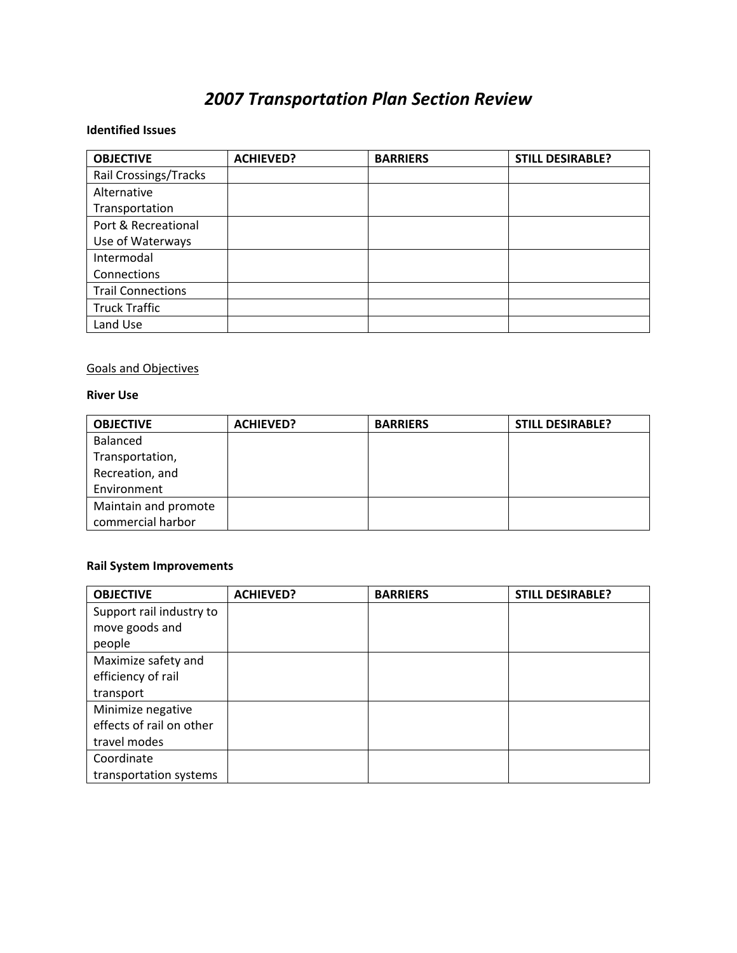# *2007 Transportation Plan Section Review*

#### **Identified Issues**

| <b>OBJECTIVE</b>         | <b>ACHIEVED?</b> | <b>BARRIERS</b> | <b>STILL DESIRABLE?</b> |
|--------------------------|------------------|-----------------|-------------------------|
| Rail Crossings/Tracks    |                  |                 |                         |
| Alternative              |                  |                 |                         |
| Transportation           |                  |                 |                         |
| Port & Recreational      |                  |                 |                         |
| Use of Waterways         |                  |                 |                         |
| Intermodal               |                  |                 |                         |
| Connections              |                  |                 |                         |
| <b>Trail Connections</b> |                  |                 |                         |
| <b>Truck Traffic</b>     |                  |                 |                         |
| Land Use                 |                  |                 |                         |

# Goals and Objectives

#### **River Use**

| <b>OBJECTIVE</b>     | <b>ACHIEVED?</b> | <b>BARRIERS</b> | <b>STILL DESIRABLE?</b> |
|----------------------|------------------|-----------------|-------------------------|
| Balanced             |                  |                 |                         |
| Transportation,      |                  |                 |                         |
| Recreation, and      |                  |                 |                         |
| Environment          |                  |                 |                         |
| Maintain and promote |                  |                 |                         |
| commercial harbor    |                  |                 |                         |

#### **Rail System Improvements**

| <b>OBJECTIVE</b>         | <b>ACHIEVED?</b> | <b>BARRIERS</b> | <b>STILL DESIRABLE?</b> |
|--------------------------|------------------|-----------------|-------------------------|
| Support rail industry to |                  |                 |                         |
| move goods and           |                  |                 |                         |
| people                   |                  |                 |                         |
| Maximize safety and      |                  |                 |                         |
| efficiency of rail       |                  |                 |                         |
| transport                |                  |                 |                         |
| Minimize negative        |                  |                 |                         |
| effects of rail on other |                  |                 |                         |
| travel modes             |                  |                 |                         |
| Coordinate               |                  |                 |                         |
| transportation systems   |                  |                 |                         |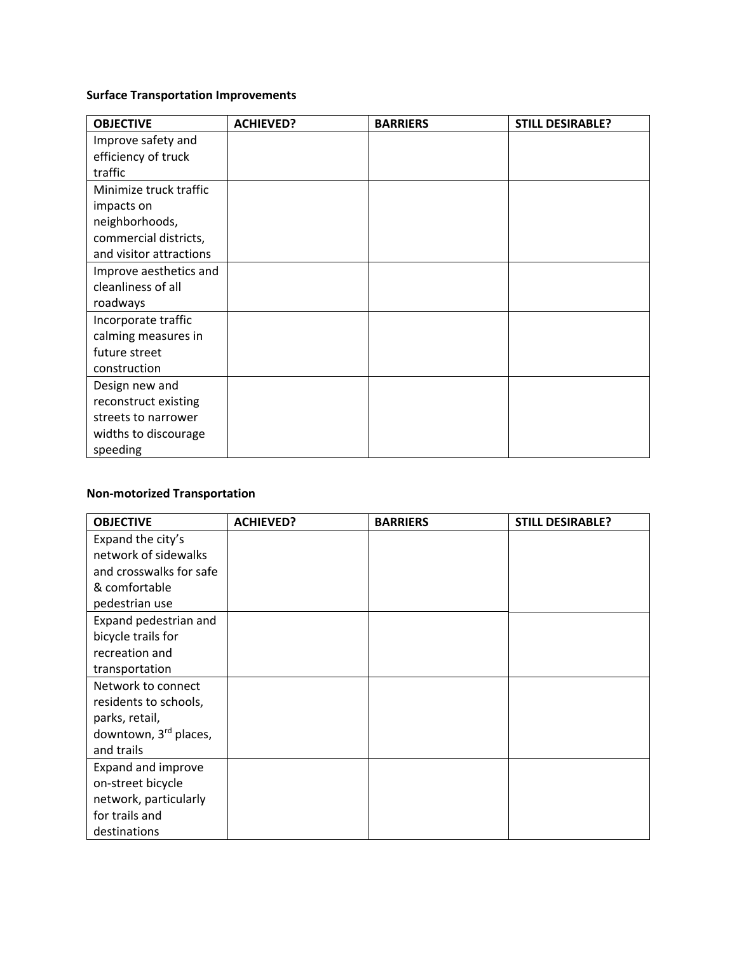# **Surface Transportation Improvements**

| <b>OBJECTIVE</b>        | <b>ACHIEVED?</b> | <b>BARRIERS</b> | <b>STILL DESIRABLE?</b> |
|-------------------------|------------------|-----------------|-------------------------|
| Improve safety and      |                  |                 |                         |
| efficiency of truck     |                  |                 |                         |
| traffic                 |                  |                 |                         |
| Minimize truck traffic  |                  |                 |                         |
| impacts on              |                  |                 |                         |
| neighborhoods,          |                  |                 |                         |
| commercial districts,   |                  |                 |                         |
| and visitor attractions |                  |                 |                         |
| Improve aesthetics and  |                  |                 |                         |
| cleanliness of all      |                  |                 |                         |
| roadways                |                  |                 |                         |
| Incorporate traffic     |                  |                 |                         |
| calming measures in     |                  |                 |                         |
| future street           |                  |                 |                         |
| construction            |                  |                 |                         |
| Design new and          |                  |                 |                         |
| reconstruct existing    |                  |                 |                         |
| streets to narrower     |                  |                 |                         |
| widths to discourage    |                  |                 |                         |
| speeding                |                  |                 |                         |

# **Non‐motorized Transportation**

| <b>OBJECTIVE</b>        | <b>ACHIEVED?</b> | <b>BARRIERS</b> | <b>STILL DESIRABLE?</b> |
|-------------------------|------------------|-----------------|-------------------------|
| Expand the city's       |                  |                 |                         |
| network of sidewalks    |                  |                 |                         |
| and crosswalks for safe |                  |                 |                         |
| & comfortable           |                  |                 |                         |
| pedestrian use          |                  |                 |                         |
| Expand pedestrian and   |                  |                 |                         |
| bicycle trails for      |                  |                 |                         |
| recreation and          |                  |                 |                         |
| transportation          |                  |                 |                         |
| Network to connect      |                  |                 |                         |
| residents to schools,   |                  |                 |                         |
| parks, retail,          |                  |                 |                         |
| downtown, 3rd places,   |                  |                 |                         |
| and trails              |                  |                 |                         |
| Expand and improve      |                  |                 |                         |
| on-street bicycle       |                  |                 |                         |
| network, particularly   |                  |                 |                         |
| for trails and          |                  |                 |                         |
| destinations            |                  |                 |                         |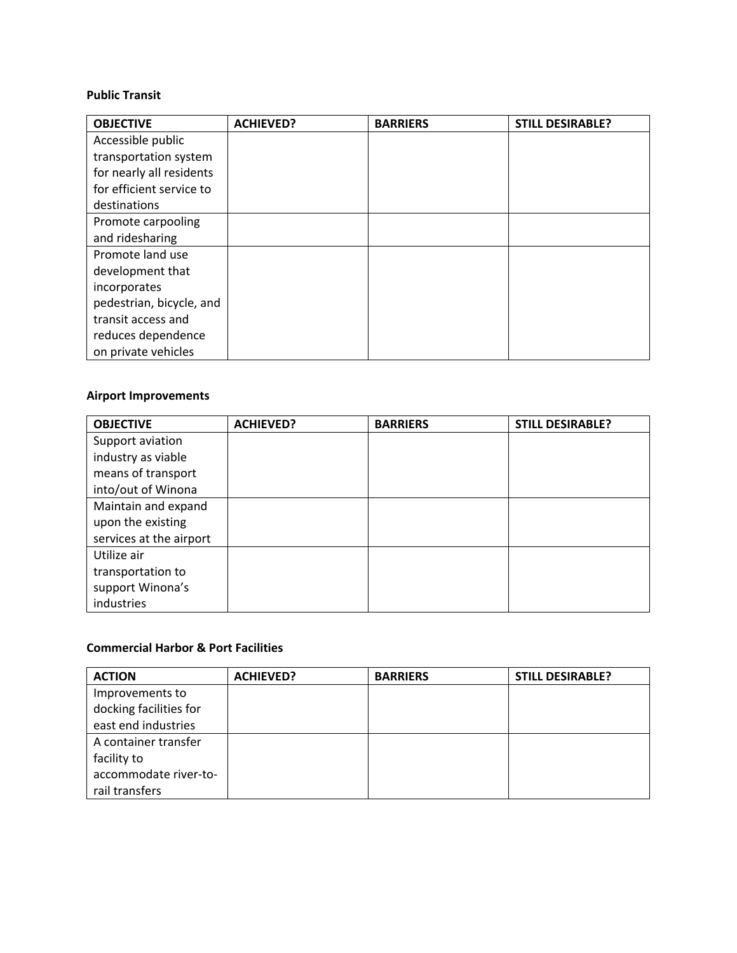#### **Public Transit**

| <b>OBJECTIVE</b>         | <b>ACHIEVED?</b> | <b>BARRIERS</b> | <b>STILL DESIRABLE?</b> |
|--------------------------|------------------|-----------------|-------------------------|
| Accessible public        |                  |                 |                         |
| transportation system    |                  |                 |                         |
| for nearly all residents |                  |                 |                         |
| for efficient service to |                  |                 |                         |
| destinations             |                  |                 |                         |
| Promote carpooling       |                  |                 |                         |
| and ridesharing          |                  |                 |                         |
| Promote land use         |                  |                 |                         |
| development that         |                  |                 |                         |
| incorporates             |                  |                 |                         |
| pedestrian, bicycle, and |                  |                 |                         |
| transit access and       |                  |                 |                         |
| reduces dependence       |                  |                 |                         |
| on private vehicles      |                  |                 |                         |

#### **Airport Improvements**

| <b>OBJECTIVE</b>        | <b>ACHIEVED?</b> | <b>BARRIERS</b> | <b>STILL DESIRABLE?</b> |
|-------------------------|------------------|-----------------|-------------------------|
| Support aviation        |                  |                 |                         |
| industry as viable      |                  |                 |                         |
| means of transport      |                  |                 |                         |
| into/out of Winona      |                  |                 |                         |
| Maintain and expand     |                  |                 |                         |
| upon the existing       |                  |                 |                         |
| services at the airport |                  |                 |                         |
| Utilize air             |                  |                 |                         |
| transportation to       |                  |                 |                         |
| support Winona's        |                  |                 |                         |
| industries              |                  |                 |                         |

#### **Commercial Harbor & Port Facilities**

| <b>ACTION</b>          | <b>ACHIEVED?</b> | <b>BARRIERS</b> | <b>STILL DESIRABLE?</b> |
|------------------------|------------------|-----------------|-------------------------|
| Improvements to        |                  |                 |                         |
| docking facilities for |                  |                 |                         |
| east end industries    |                  |                 |                         |
| A container transfer   |                  |                 |                         |
| facility to            |                  |                 |                         |
| accommodate river-to-  |                  |                 |                         |
| rail transfers         |                  |                 |                         |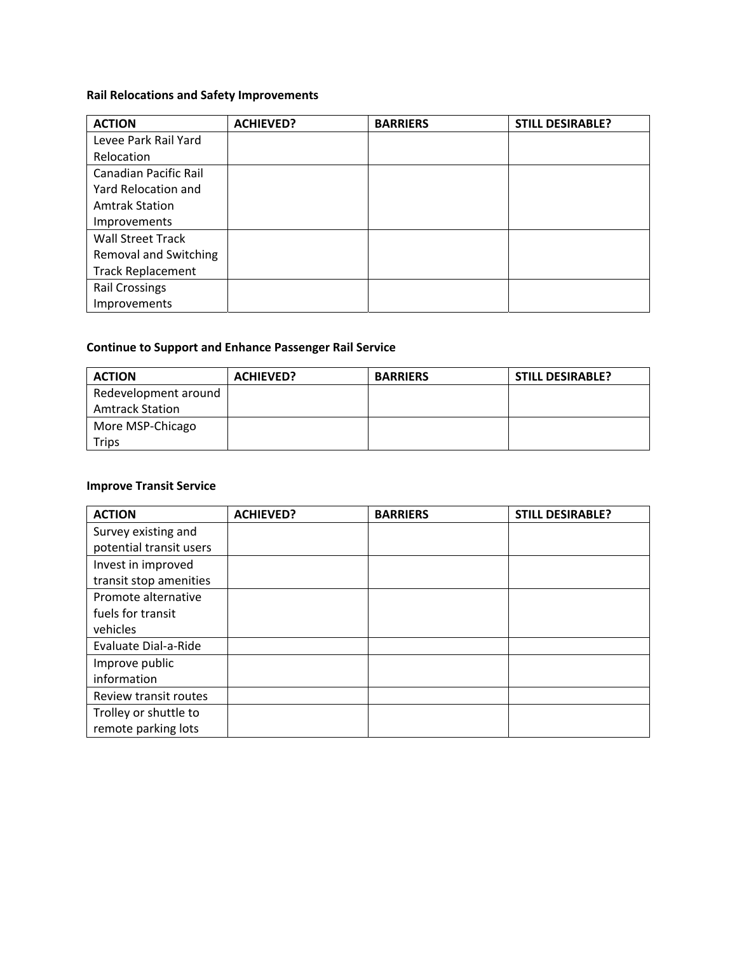# **Rail Relocations and Safety Improvements**

| <b>ACTION</b>                | <b>ACHIEVED?</b> | <b>BARRIERS</b> | <b>STILL DESIRABLE?</b> |
|------------------------------|------------------|-----------------|-------------------------|
| Levee Park Rail Yard         |                  |                 |                         |
| Relocation                   |                  |                 |                         |
| <b>Canadian Pacific Rail</b> |                  |                 |                         |
| Yard Relocation and          |                  |                 |                         |
| <b>Amtrak Station</b>        |                  |                 |                         |
| Improvements                 |                  |                 |                         |
| <b>Wall Street Track</b>     |                  |                 |                         |
| <b>Removal and Switching</b> |                  |                 |                         |
| <b>Track Replacement</b>     |                  |                 |                         |
| <b>Rail Crossings</b>        |                  |                 |                         |
| Improvements                 |                  |                 |                         |

# **Continue to Support and Enhance Passenger Rail Service**

| <b>ACTION</b>          | <b>ACHIEVED?</b> | <b>BARRIERS</b> | <b>STILL DESIRABLE?</b> |
|------------------------|------------------|-----------------|-------------------------|
| Redevelopment around   |                  |                 |                         |
| <b>Amtrack Station</b> |                  |                 |                         |
| More MSP-Chicago       |                  |                 |                         |
| Trips                  |                  |                 |                         |

# **Improve Transit Service**

| <b>ACTION</b>           | <b>ACHIEVED?</b> | <b>BARRIERS</b> | <b>STILL DESIRABLE?</b> |
|-------------------------|------------------|-----------------|-------------------------|
| Survey existing and     |                  |                 |                         |
| potential transit users |                  |                 |                         |
| Invest in improved      |                  |                 |                         |
| transit stop amenities  |                  |                 |                         |
| Promote alternative     |                  |                 |                         |
| fuels for transit       |                  |                 |                         |
| vehicles                |                  |                 |                         |
| Evaluate Dial-a-Ride    |                  |                 |                         |
| Improve public          |                  |                 |                         |
| information             |                  |                 |                         |
| Review transit routes   |                  |                 |                         |
| Trolley or shuttle to   |                  |                 |                         |
| remote parking lots     |                  |                 |                         |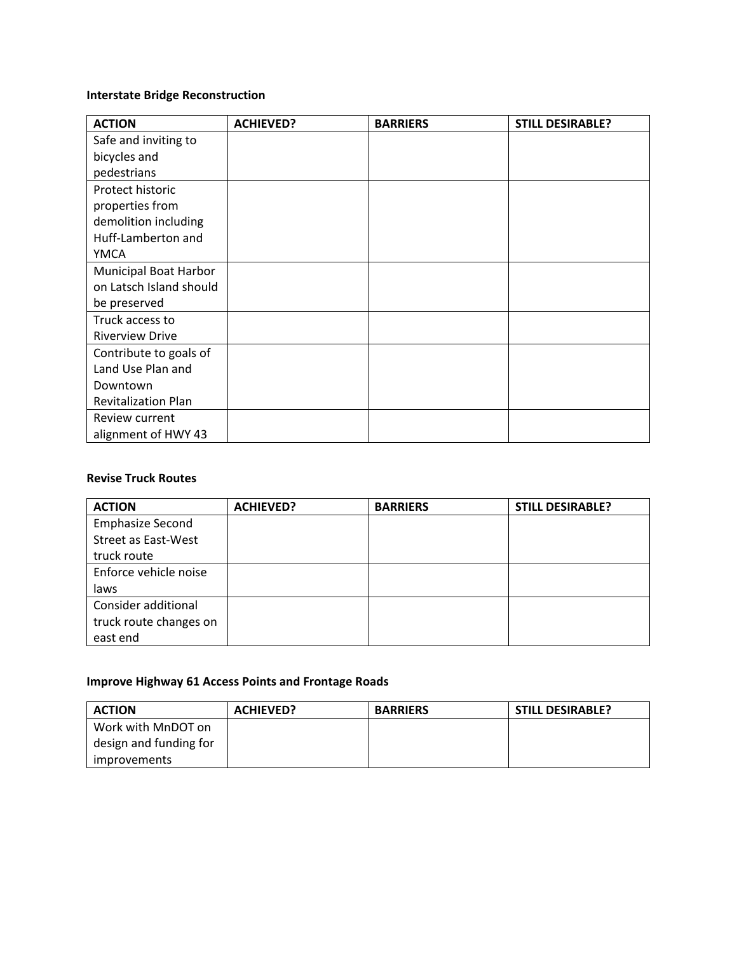# **Interstate Bridge Reconstruction**

| <b>ACTION</b>                | <b>ACHIEVED?</b> | <b>BARRIERS</b> | <b>STILL DESIRABLE?</b> |
|------------------------------|------------------|-----------------|-------------------------|
| Safe and inviting to         |                  |                 |                         |
| bicycles and                 |                  |                 |                         |
| pedestrians                  |                  |                 |                         |
| Protect historic             |                  |                 |                         |
| properties from              |                  |                 |                         |
| demolition including         |                  |                 |                         |
| Huff-Lamberton and           |                  |                 |                         |
| <b>YMCA</b>                  |                  |                 |                         |
| <b>Municipal Boat Harbor</b> |                  |                 |                         |
| on Latsch Island should      |                  |                 |                         |
| be preserved                 |                  |                 |                         |
| Truck access to              |                  |                 |                         |
| <b>Riverview Drive</b>       |                  |                 |                         |
| Contribute to goals of       |                  |                 |                         |
| Land Use Plan and            |                  |                 |                         |
| Downtown                     |                  |                 |                         |
| <b>Revitalization Plan</b>   |                  |                 |                         |
| Review current               |                  |                 |                         |
| alignment of HWY 43          |                  |                 |                         |

#### **Revise Truck Routes**

| <b>ACTION</b>           | <b>ACHIEVED?</b> | <b>BARRIERS</b> | <b>STILL DESIRABLE?</b> |
|-------------------------|------------------|-----------------|-------------------------|
| <b>Emphasize Second</b> |                  |                 |                         |
| Street as East-West     |                  |                 |                         |
| truck route             |                  |                 |                         |
| Enforce vehicle noise   |                  |                 |                         |
| laws                    |                  |                 |                         |
| Consider additional     |                  |                 |                         |
| truck route changes on  |                  |                 |                         |
| east end                |                  |                 |                         |

# **Improve Highway 61 Access Points and Frontage Roads**

| <b>ACTION</b>          | <b>ACHIEVED?</b> | <b>BARRIERS</b> | <b>STILL DESIRABLE?</b> |
|------------------------|------------------|-----------------|-------------------------|
| Work with MnDOT on     |                  |                 |                         |
| design and funding for |                  |                 |                         |
| <i>improvements</i>    |                  |                 |                         |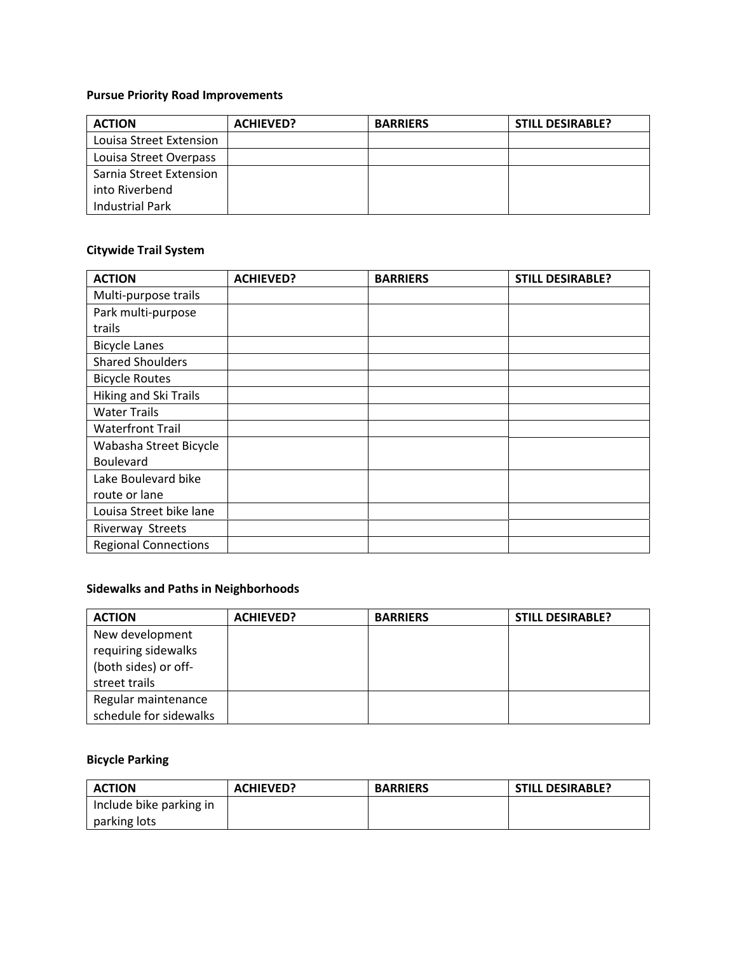# **Pursue Priority Road Improvements**

| <b>ACTION</b>           | <b>ACHIEVED?</b> | <b>BARRIERS</b> | <b>STILL DESIRABLE?</b> |
|-------------------------|------------------|-----------------|-------------------------|
| Louisa Street Extension |                  |                 |                         |
| Louisa Street Overpass  |                  |                 |                         |
| Sarnia Street Extension |                  |                 |                         |
| into Riverbend          |                  |                 |                         |
| Industrial Park         |                  |                 |                         |

# **Citywide Trail System**

| <b>ACTION</b>                | <b>ACHIEVED?</b> | <b>BARRIERS</b> | <b>STILL DESIRABLE?</b> |
|------------------------------|------------------|-----------------|-------------------------|
| Multi-purpose trails         |                  |                 |                         |
| Park multi-purpose           |                  |                 |                         |
| trails                       |                  |                 |                         |
| <b>Bicycle Lanes</b>         |                  |                 |                         |
| <b>Shared Shoulders</b>      |                  |                 |                         |
| <b>Bicycle Routes</b>        |                  |                 |                         |
| <b>Hiking and Ski Trails</b> |                  |                 |                         |
| <b>Water Trails</b>          |                  |                 |                         |
| <b>Waterfront Trail</b>      |                  |                 |                         |
| Wabasha Street Bicycle       |                  |                 |                         |
| Boulevard                    |                  |                 |                         |
| Lake Boulevard bike          |                  |                 |                         |
| route or lane                |                  |                 |                         |
| Louisa Street bike lane      |                  |                 |                         |
| Riverway Streets             |                  |                 |                         |
| <b>Regional Connections</b>  |                  |                 |                         |

#### **Sidewalks and Paths in Neighborhoods**

| <b>ACTION</b>                                                                   | <b>ACHIEVED?</b> | <b>BARRIERS</b> | <b>STILL DESIRABLE?</b> |
|---------------------------------------------------------------------------------|------------------|-----------------|-------------------------|
| New development<br>requiring sidewalks<br>(both sides) or off-<br>street trails |                  |                 |                         |
| Regular maintenance<br>schedule for sidewalks                                   |                  |                 |                         |

# **Bicycle Parking**

| <b>ACTION</b>           | <b>ACHIEVED?</b> | <b>BARRIERS</b> | <b>STILL DESIRABLE?</b> |
|-------------------------|------------------|-----------------|-------------------------|
| Include bike parking in |                  |                 |                         |
| parking lots            |                  |                 |                         |